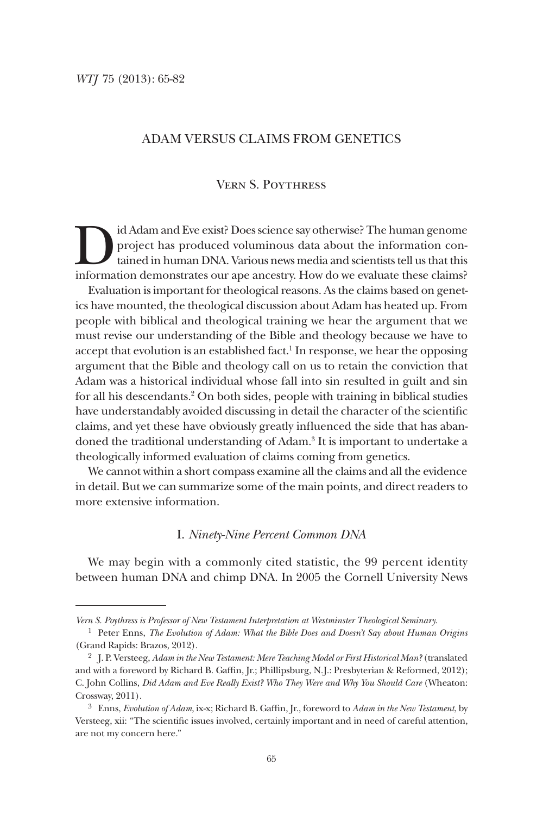# Adam versus Claims from Genetics

# Vern S. Poythress

Id Adam and Eve exist? Does science say otherwise? The human genome<br>project has produced voluminous data about the information con-<br>tained in human DNA. Various news media and scientists tell us that this<br>information demon project has produced voluminous data about the information contained in human DNA. Various news media and scientists tell us that this information demonstrates our ape ancestry. How do we evaluate these claims? Evaluation is important for theological reasons. As the claims based on genet-

ics have mounted, the theological discussion about Adam has heated up. From people with biblical and theological training we hear the argument that we must revise our understanding of the Bible and theology because we have to accept that evolution is an established fact.<sup>1</sup> In response, we hear the opposing argument that the Bible and theology call on us to retain the conviction that Adam was a historical individual whose fall into sin resulted in guilt and sin for all his descendants.<sup>2</sup> On both sides, people with training in biblical studies have understandably avoided discussing in detail the character of the scientific claims, and yet these have obviously greatly influenced the side that has abandoned the traditional understanding of Adam.<sup>3</sup> It is important to undertake a theologically informed evaluation of claims coming from genetics.

We cannot within a short compass examine all the claims and all the evidence in detail. But we can summarize some of the main points, and direct readers to more extensive information.

# I. *Ninety-Nine Percent Common DNA*

We may begin with a commonly cited statistic, the 99 percent identity between human DNA and chimp DNA. In 2005 the Cornell University News

*Vern S. Poythress is Professor of New Testament Interpretation at Westminster Theological Seminary.*

<sup>1</sup> Peter Enns, *The Evolution of Adam: What the Bible Does and Doesn't Say about Human Origins* (Grand Rapids: Brazos, 2012).

<sup>2</sup> J. P. Versteeg, *Adam in the New Testament: Mere Teaching Model or First Historical Man?* (translated and with a foreword by Richard B. Gaffin, Jr.; Phillipsburg, N.J.: Presbyterian & Reformed, 2012); C. John Collins, *Did Adam and Eve Really Exist? Who They Were and Why You Should Care* (Wheaton: Crossway, 2011).

<sup>3</sup> Enns, *Evolution of Adam*, ix-x; Richard B. Gaffin, Jr., foreword to *Adam in the New Testament*, by Versteeg, xii: "The scientific issues involved, certainly important and in need of careful attention, are not my concern here."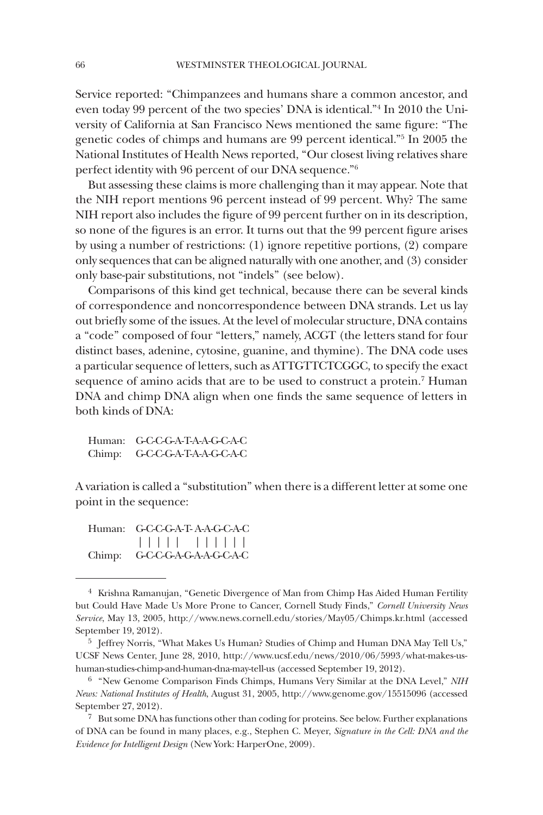Service reported: "Chimpanzees and humans share a common ancestor, and even today 99 percent of the two species' DNA is identical."4 In 2010 the University of California at San Francisco News mentioned the same figure: "The genetic codes of chimps and humans are 99 percent identical."5 In 2005 the National Institutes of Health News reported, "Our closest living relatives share perfect identity with 96 percent of our DNA sequence."6

But assessing these claims is more challenging than it may appear. Note that the NIH report mentions 96 percent instead of 99 percent. Why? The same NIH report also includes the figure of 99 percent further on in its description, so none of the figures is an error. It turns out that the 99 percent figure arises by using a number of restrictions: (1) ignore repetitive portions, (2) compare only sequences that can be aligned naturally with one another, and (3) consider only base-pair substitutions, not "indels" (see below).

Comparisons of this kind get technical, because there can be several kinds of correspondence and noncorrespondence between DNA strands. Let us lay out briefly some of the issues. At the level of molecular structure, DNA contains a "code" composed of four "letters," namely, ACGT (the letters stand for four distinct bases, adenine, cytosine, guanine, and thymine). The DNA code uses a particular sequence of letters, such as ATTGTTCTCGGC, to specify the exact sequence of amino acids that are to be used to construct a protein.<sup>7</sup> Human DNA and chimp DNA align when one finds the same sequence of letters in both kinds of DNA:

Human: G-C-C-G-A-T-A-A-G-C-A-C Chimp: G-C-C-G-A-T-A-A-G-C-A-C

A variation is called a "substitution" when there is a different letter at some one point in the sequence:

Human: G-C-C-G-A-T- A-A-G-C-A-C | | | | | | | | | | | Chimp: G-C-C-G-A-G-A-A-G-C-A-C

<sup>4</sup> Krishna Ramanujan, "Genetic Divergence of Man from Chimp Has Aided Human Fertility but Could Have Made Us More Prone to Cancer, Cornell Study Finds," *Cornell University News Service*, May 13, 2005, http://www.news.cornell.edu/stories/May05/Chimps.kr.html (accessed September 19, 2012).

<sup>5</sup> Jeffrey Norris, "What Makes Us Human? Studies of Chimp and Human DNA May Tell Us," UCSF News Center, June 28, 2010, http://www.ucsf.edu/news/2010/06/5993/what-makes-ushuman-studies-chimp-and-human-dna-may-tell-us (accessed September 19, 2012).

<sup>6</sup> "New Genome Comparison Finds Chimps, Humans Very Similar at the DNA Level," *NIH News: National Institutes of Health*, August 31, 2005, http://www.genome.gov/15515096 (accessed September 27, 2012).

 $7\;$  But some DNA has functions other than coding for proteins. See below. Further explanations of DNA can be found in many places, e.g., Stephen C. Meyer, *Signature in the Cell: DNA and the Evidence for Intelligent Design* (New York: HarperOne, 2009).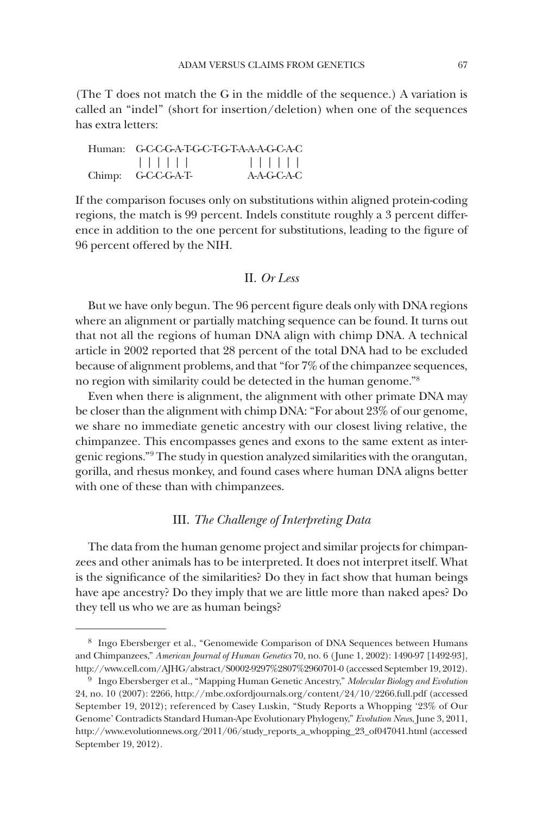(The T does not match the G in the middle of the sequence.) A variation is called an "indel" (short for insertion/deletion) when one of the sequences has extra letters:

| Human: G-C-C-G-A-T-G-C-T-G-T-A-A-A-G-C-A-C |             |
|--------------------------------------------|-------------|
| 1 1 1 1 1 1                                | 1           |
| Chimp: G-C-C-G-A-T-                        | A-A-G-C-A-C |

If the comparison focuses only on substitutions within aligned protein-coding regions, the match is 99 percent. Indels constitute roughly a 3 percent difference in addition to the one percent for substitutions, leading to the figure of 96 percent offered by the NIH.

# II. *Or Less*

But we have only begun. The 96 percent figure deals only with DNA regions where an alignment or partially matching sequence can be found. It turns out that not all the regions of human DNA align with chimp DNA. A technical article in 2002 reported that 28 percent of the total DNA had to be excluded because of alignment problems, and that "for 7% of the chimpanzee sequences, no region with similarity could be detected in the human genome."8

Even when there is alignment, the alignment with other primate DNA may be closer than the alignment with chimp DNA: "For about 23% of our genome, we share no immediate genetic ancestry with our closest living relative, the chimpanzee. This encompasses genes and exons to the same extent as intergenic regions."9 The study in question analyzed similarities with the orangutan, gorilla, and rhesus monkey, and found cases where human DNA aligns better with one of these than with chimpanzees.

# III. *The Challenge of Interpreting Data*

The data from the human genome project and similar projects for chimpanzees and other animals has to be interpreted. It does not interpret itself. What is the significance of the similarities? Do they in fact show that human beings have ape ancestry? Do they imply that we are little more than naked apes? Do they tell us who we are as human beings?

<sup>8</sup> Ingo Ebersberger et al., "Genomewide Comparison of DNA Sequences between Humans and Chimpanzees," *American Journal of Human Genetics* 70, no. 6 (June 1, 2002): 1490-97 [1492-93], http://www.cell.com/AJHG/abstract/S0002-9297%2807%2960701-0 (accessed September 19, 2012).

<sup>9</sup> Ingo Ebersberger et al., "Mapping Human Genetic Ancestry," *Molecular Biology and Evolution* 24, no. 10 (2007): 2266, http://mbe.oxfordjournals.org/content/24/10/2266.full.pdf (accessed September 19, 2012); referenced by Casey Luskin, "Study Reports a Whopping '23% of Our Genome' Contradicts Standard Human-Ape Evolutionary Phylogeny," *Evolution News*, June 3, 2011, http://www.evolutionnews.org/2011/06/study\_reports\_a\_whopping\_23\_of047041.html (accessed September 19, 2012).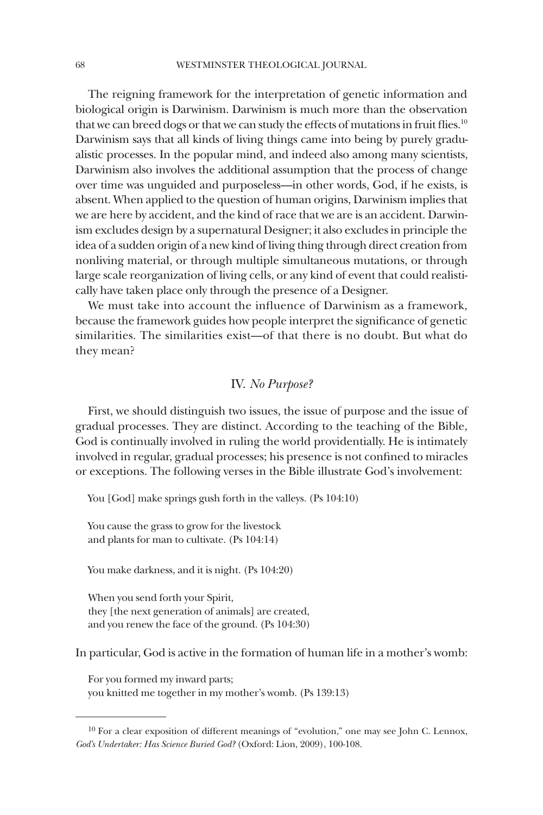The reigning framework for the interpretation of genetic information and biological origin is Darwinism. Darwinism is much more than the observation that we can breed dogs or that we can study the effects of mutations in fruit flies.<sup>10</sup> Darwinism says that all kinds of living things came into being by purely gradualistic processes. In the popular mind, and indeed also among many scientists, Darwinism also involves the additional assumption that the process of change over time was unguided and purposeless—in other words, God, if he exists, is absent. When applied to the question of human origins, Darwinism implies that we are here by accident, and the kind of race that we are is an accident. Darwinism excludes design by a supernatural Designer; it also excludes in principle the idea of a sudden origin of a new kind of living thing through direct creation from nonliving material, or through multiple simultaneous mutations, or through large scale reorganization of living cells, or any kind of event that could realistically have taken place only through the presence of a Designer.

We must take into account the influence of Darwinism as a framework, because the framework guides how people interpret the significance of genetic similarities. The similarities exist—of that there is no doubt. But what do they mean?

# IV. *No Purpose?*

First, we should distinguish two issues, the issue of purpose and the issue of gradual processes. They are distinct. According to the teaching of the Bible, God is continually involved in ruling the world providentially. He is intimately involved in regular, gradual processes; his presence is not confined to miracles or exceptions. The following verses in the Bible illustrate God's involvement:

You [God] make springs gush forth in the valleys. (Ps 104:10)

You cause the grass to grow for the livestock and plants for man to cultivate. (Ps 104:14)

You make darkness, and it is night. (Ps 104:20)

When you send forth your Spirit, they [the next generation of animals] are created, and you renew the face of the ground. (Ps 104:30)

In particular, God is active in the formation of human life in a mother's womb:

For you formed my inward parts; you knitted me together in my mother's womb. (Ps 139:13)

 $10$  For a clear exposition of different meanings of "evolution," one may see John C. Lennox, *God's Undertaker: Has Science Buried God?* (Oxford: Lion, 2009), 100-108.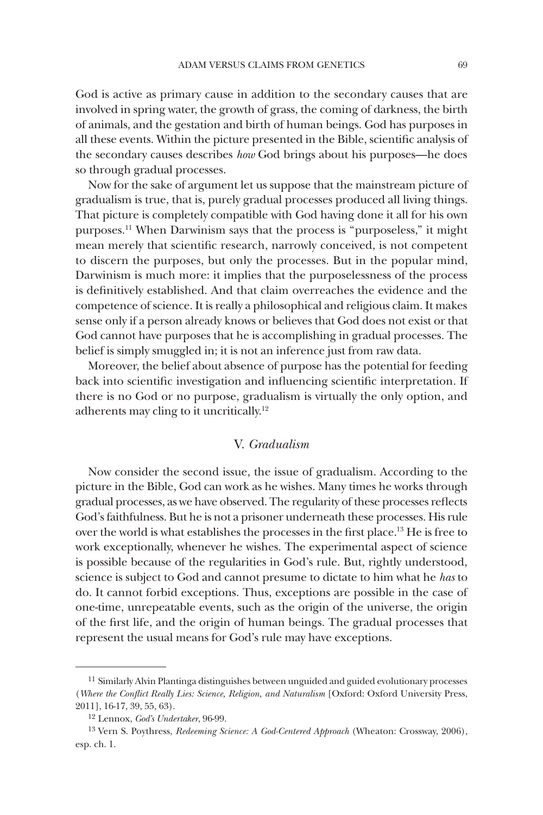God is active as primary cause in addition to the secondary causes that are involved in spring water, the growth of grass, the coming of darkness, the birth of animals, and the gestation and birth of human beings. God has purposes in all these events. Within the picture presented in the Bible, scientific analysis of the secondary causes describes *how* God brings about his purposes—he does so through gradual processes.

Now for the sake of argument let us suppose that the mainstream picture of gradualism is true, that is, purely gradual processes produced all living things. That picture is completely compatible with God having done it all for his own purposes.11 When Darwinism says that the process is "purposeless," it might mean merely that scientific research, narrowly conceived, is not competent to discern the purposes, but only the processes. But in the popular mind, Darwinism is much more: it implies that the purposelessness of the process is definitively established. And that claim overreaches the evidence and the competence of science. It is really a philosophical and religious claim. It makes sense only if a person already knows or believes that God does not exist or that God cannot have purposes that he is accomplishing in gradual processes. The belief is simply smuggled in; it is not an inference just from raw data.

Moreover, the belief about absence of purpose has the potential for feeding back into scientific investigation and influencing scientific interpretation. If there is no God or no purpose, gradualism is virtually the only option, and adherents may cling to it uncritically.12

#### V. *Gradualism*

Now consider the second issue, the issue of gradualism. According to the picture in the Bible, God can work as he wishes. Many times he works through gradual processes, as we have observed. The regularity of these processes reflects God's faithfulness. But he is not a prisoner underneath these processes. His rule over the world is what establishes the processes in the first place.13 He is free to work exceptionally, whenever he wishes. The experimental aspect of science is possible because of the regularities in God's rule. But, rightly understood, science is subject to God and cannot presume to dictate to him what he *has* to do. It cannot forbid exceptions. Thus, exceptions are possible in the case of one-time, unrepeatable events, such as the origin of the universe, the origin of the first life, and the origin of human beings. The gradual processes that represent the usual means for God's rule may have exceptions.

<sup>&</sup>lt;sup>11</sup> Similarly Alvin Plantinga distinguishes between unguided and guided evolutionary processes (*Where the Conflict Really Lies: Science, Religion, and Naturalism* [Oxford: Oxford University Press, 2011], 16-17, 39, 55, 63).

<sup>12</sup> Lennox, *God's Undertaker*, 96-99.

<sup>13</sup> Vern S. Poythress, *Redeeming Science: A God-Centered Approach* (Wheaton: Crossway, 2006), esp. ch. 1.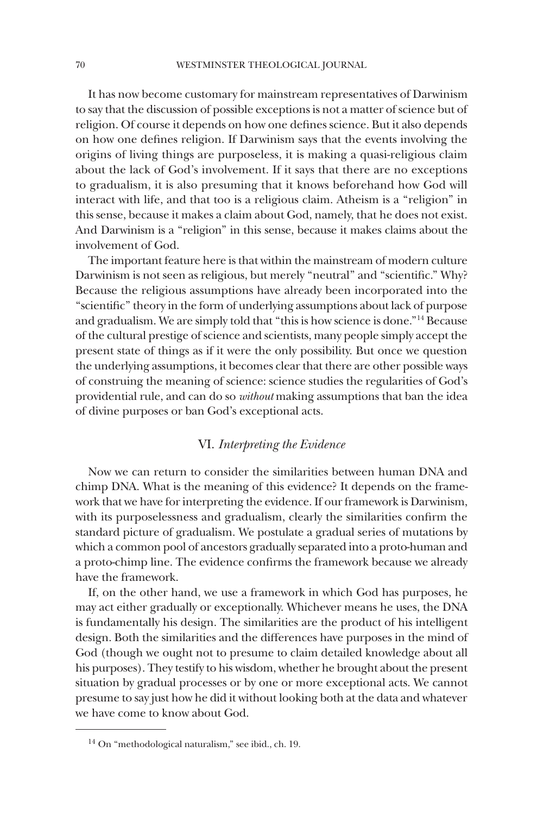It has now become customary for mainstream representatives of Darwinism to say that the discussion of possible exceptions is not a matter of science but of religion. Of course it depends on how one defines science. But it also depends on how one defines religion. If Darwinism says that the events involving the origins of living things are purposeless, it is making a quasi-religious claim about the lack of God's involvement. If it says that there are no exceptions to gradualism, it is also presuming that it knows beforehand how God will interact with life, and that too is a religious claim. Atheism is a "religion" in this sense, because it makes a claim about God, namely, that he does not exist. And Darwinism is a "religion" in this sense, because it makes claims about the involvement of God.

The important feature here is that within the mainstream of modern culture Darwinism is not seen as religious, but merely "neutral" and "scientific." Why? Because the religious assumptions have already been incorporated into the "scientific" theory in the form of underlying assumptions about lack of purpose and gradualism. We are simply told that "this is how science is done."14 Because of the cultural prestige of science and scientists, many people simply accept the present state of things as if it were the only possibility. But once we question the underlying assumptions, it becomes clear that there are other possible ways of construing the meaning of science: science studies the regularities of God's providential rule, and can do so *without* making assumptions that ban the idea of divine purposes or ban God's exceptional acts.

# VI. *Interpreting the Evidence*

Now we can return to consider the similarities between human DNA and chimp DNA. What is the meaning of this evidence? It depends on the framework that we have for interpreting the evidence. If our framework is Darwinism, with its purposelessness and gradualism, clearly the similarities confirm the standard picture of gradualism. We postulate a gradual series of mutations by which a common pool of ancestors gradually separated into a proto-human and a proto-chimp line. The evidence confirms the framework because we already have the framework.

If, on the other hand, we use a framework in which God has purposes, he may act either gradually or exceptionally. Whichever means he uses, the DNA is fundamentally his design. The similarities are the product of his intelligent design. Both the similarities and the differences have purposes in the mind of God (though we ought not to presume to claim detailed knowledge about all his purposes). They testify to his wisdom, whether he brought about the present situation by gradual processes or by one or more exceptional acts. We cannot presume to say just how he did it without looking both at the data and whatever we have come to know about God.

<sup>14</sup> On "methodological naturalism," see ibid., ch. 19.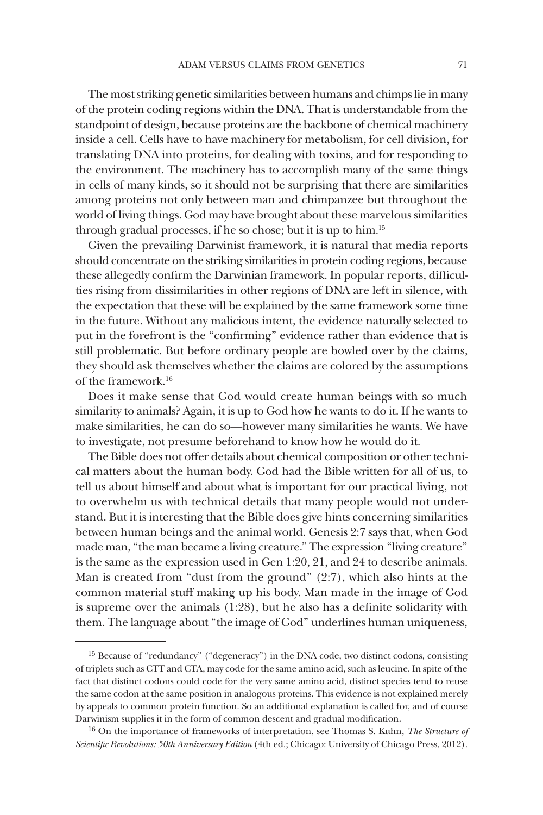The most striking genetic similarities between humans and chimps lie in many of the protein coding regions within the DNA. That is understandable from the standpoint of design, because proteins are the backbone of chemical machinery inside a cell. Cells have to have machinery for metabolism, for cell division, for translating DNA into proteins, for dealing with toxins, and for responding to the environment. The machinery has to accomplish many of the same things in cells of many kinds, so it should not be surprising that there are similarities among proteins not only between man and chimpanzee but throughout the world of living things. God may have brought about these marvelous similarities through gradual processes, if he so chose; but it is up to him.15

Given the prevailing Darwinist framework, it is natural that media reports should concentrate on the striking similarities in protein coding regions, because these allegedly confirm the Darwinian framework. In popular reports, difficulties rising from dissimilarities in other regions of DNA are left in silence, with the expectation that these will be explained by the same framework some time in the future. Without any malicious intent, the evidence naturally selected to put in the forefront is the "confirming" evidence rather than evidence that is still problematic. But before ordinary people are bowled over by the claims, they should ask themselves whether the claims are colored by the assumptions of the framework.16

Does it make sense that God would create human beings with so much similarity to animals? Again, it is up to God how he wants to do it. If he wants to make similarities, he can do so—however many similarities he wants. We have to investigate, not presume beforehand to know how he would do it.

The Bible does not offer details about chemical composition or other technical matters about the human body. God had the Bible written for all of us, to tell us about himself and about what is important for our practical living, not to overwhelm us with technical details that many people would not understand. But it is interesting that the Bible does give hints concerning similarities between human beings and the animal world. Genesis 2:7 says that, when God made man, "the man became a living creature." The expression "living creature" is the same as the expression used in Gen 1:20, 21, and 24 to describe animals. Man is created from "dust from the ground" (2:7), which also hints at the common material stuff making up his body. Man made in the image of God is supreme over the animals (1:28), but he also has a definite solidarity with them. The language about "the image of God" underlines human uniqueness,

<sup>&</sup>lt;sup>15</sup> Because of "redundancy" ("degeneracy") in the DNA code, two distinct codons, consisting of triplets such as CTT and CTA, may code for the same amino acid, such as leucine. In spite of the fact that distinct codons could code for the very same amino acid, distinct species tend to reuse the same codon at the same position in analogous proteins. This evidence is not explained merely by appeals to common protein function. So an additional explanation is called for, and of course Darwinism supplies it in the form of common descent and gradual modification.

<sup>16</sup> On the importance of frameworks of interpretation, see Thomas S. Kuhn, *The Structure of Scientific Revolutions: 50th Anniversary Edition* (4th ed.; Chicago: University of Chicago Press, 2012).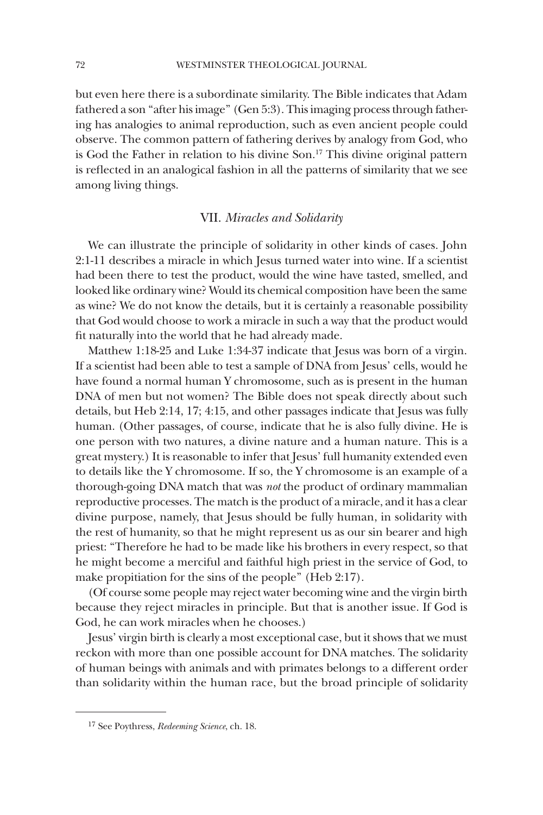but even here there is a subordinate similarity. The Bible indicates that Adam fathered a son "after his image" (Gen 5:3). This imaging process through fathering has analogies to animal reproduction, such as even ancient people could observe. The common pattern of fathering derives by analogy from God, who is God the Father in relation to his divine Son.17 This divine original pattern is reflected in an analogical fashion in all the patterns of similarity that we see among living things.

#### VII. *Miracles and Solidarity*

We can illustrate the principle of solidarity in other kinds of cases. John 2:1-11 describes a miracle in which Jesus turned water into wine. If a scientist had been there to test the product, would the wine have tasted, smelled, and looked like ordinary wine? Would its chemical composition have been the same as wine? We do not know the details, but it is certainly a reasonable possibility that God would choose to work a miracle in such a way that the product would fit naturally into the world that he had already made.

Matthew 1:18-25 and Luke 1:34-37 indicate that Jesus was born of a virgin. If a scientist had been able to test a sample of DNA from Jesus' cells, would he have found a normal human Y chromosome, such as is present in the human DNA of men but not women? The Bible does not speak directly about such details, but Heb 2:14, 17; 4:15, and other passages indicate that Jesus was fully human. (Other passages, of course, indicate that he is also fully divine. He is one person with two natures, a divine nature and a human nature. This is a great mystery.) It is reasonable to infer that Jesus' full humanity extended even to details like the Y chromosome. If so, the Y chromosome is an example of a thorough-going DNA match that was *not* the product of ordinary mammalian reproductive processes. The match is the product of a miracle, and it has a clear divine purpose, namely, that Jesus should be fully human, in solidarity with the rest of humanity, so that he might represent us as our sin bearer and high priest: "Therefore he had to be made like his brothers in every respect, so that he might become a merciful and faithful high priest in the service of God, to make propitiation for the sins of the people" (Heb 2:17).

(Of course some people may reject water becoming wine and the virgin birth because they reject miracles in principle. But that is another issue. If God is God, he can work miracles when he chooses.)

Jesus' virgin birth is clearly a most exceptional case, but it shows that we must reckon with more than one possible account for DNA matches. The solidarity of human beings with animals and with primates belongs to a different order than solidarity within the human race, but the broad principle of solidarity

<sup>17</sup> See Poythress, *Redeeming Science*, ch. 18.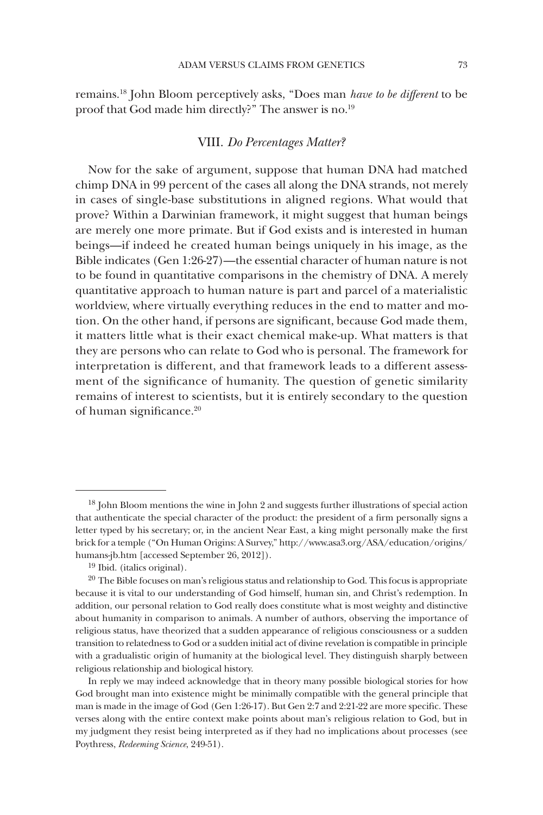remains.18 John Bloom perceptively asks, "Does man *have to be different* to be proof that God made him directly?" The answer is no.<sup>19</sup>

# VIII. *Do Percentages Matter?*

Now for the sake of argument, suppose that human DNA had matched chimp DNA in 99 percent of the cases all along the DNA strands, not merely in cases of single-base substitutions in aligned regions. What would that prove? Within a Darwinian framework, it might suggest that human beings are merely one more primate. But if God exists and is interested in human beings—if indeed he created human beings uniquely in his image, as the Bible indicates (Gen 1:26-27)—the essential character of human nature is not to be found in quantitative comparisons in the chemistry of DNA. A merely quantitative approach to human nature is part and parcel of a materialistic worldview, where virtually everything reduces in the end to matter and motion. On the other hand, if persons are significant, because God made them, it matters little what is their exact chemical make-up. What matters is that they are persons who can relate to God who is personal. The framework for interpretation is different, and that framework leads to a different assessment of the significance of humanity. The question of genetic similarity remains of interest to scientists, but it is entirely secondary to the question of human significance.20

In reply we may indeed acknowledge that in theory many possible biological stories for how God brought man into existence might be minimally compatible with the general principle that man is made in the image of God (Gen 1:26-17). But Gen 2:7 and 2:21-22 are more specific. These verses along with the entire context make points about man's religious relation to God, but in my judgment they resist being interpreted as if they had no implications about processes (see Poythress, *Redeeming Science*, 249-51).

 $18$  John Bloom mentions the wine in John 2 and suggests further illustrations of special action that authenticate the special character of the product: the president of a firm personally signs a letter typed by his secretary; or, in the ancient Near East, a king might personally make the first brick for a temple ("On Human Origins: A Survey," http://www.asa3.org/ASA/education/origins/ humans-jb.htm [accessed September 26, 2012]).

<sup>19</sup> Ibid. (italics original).

 $20$  The Bible focuses on man's religious status and relationship to God. This focus is appropriate because it is vital to our understanding of God himself, human sin, and Christ's redemption. In addition, our personal relation to God really does constitute what is most weighty and distinctive about humanity in comparison to animals. A number of authors, observing the importance of religious status, have theorized that a sudden appearance of religious consciousness or a sudden transition to relatedness to God or a sudden initial act of divine revelation is compatible in principle with a gradualistic origin of humanity at the biological level. They distinguish sharply between religious relationship and biological history.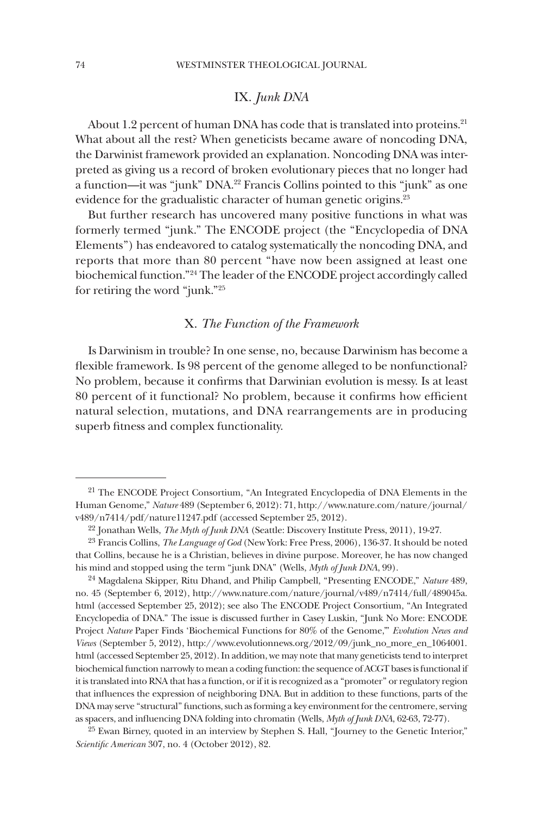# IX. *Junk DNA*

About 1.2 percent of human DNA has code that is translated into proteins.<sup>21</sup> What about all the rest? When geneticists became aware of noncoding DNA, the Darwinist framework provided an explanation. Noncoding DNA was interpreted as giving us a record of broken evolutionary pieces that no longer had a function—it was "junk" DNA.<sup>22</sup> Francis Collins pointed to this "junk" as one evidence for the gradualistic character of human genetic origins.<sup>23</sup>

But further research has uncovered many positive functions in what was formerly termed "junk." The ENCODE project (the "Encyclopedia of DNA Elements") has endeavored to catalog systematically the noncoding DNA, and reports that more than 80 percent "have now been assigned at least one biochemical function."24 The leader of the ENCODE project accordingly called for retiring the word "junk."25

# X. *The Function of the Framework*

Is Darwinism in trouble? In one sense, no, because Darwinism has become a flexible framework. Is 98 percent of the genome alleged to be nonfunctional? No problem, because it confirms that Darwinian evolution is messy. Is at least 80 percent of it functional? No problem, because it confirms how efficient natural selection, mutations, and DNA rearrangements are in producing superb fitness and complex functionality.

<sup>21</sup> The ENCODE Project Consortium, "An Integrated Encyclopedia of DNA Elements in the Human Genome," *Nature* 489 (September 6, 2012): 71, http://www.nature.com/nature/journal/ v489/n7414/pdf/nature11247.pdf (accessed September 25, 2012).

<sup>22</sup> Jonathan Wells, *The Myth of Junk DNA* (Seattle: Discovery Institute Press, 2011), 19-27.

<sup>23</sup> Francis Collins, *The Language of God* (New York: Free Press, 2006), 136-37. It should be noted that Collins, because he is a Christian, believes in divine purpose. Moreover, he has now changed his mind and stopped using the term "junk DNA" (Wells, *Myth of Junk DNA*, 99).

<sup>24</sup> Magdalena Skipper, Ritu Dhand, and Philip Campbell, "Presenting ENCODE," *Nature* 489, no. 45 (September 6, 2012), http://www.nature.com/nature/journal/v489/n7414/full/489045a. html (accessed September 25, 2012); see also The ENCODE Project Consortium, "An Integrated Encyclopedia of DNA." The issue is discussed further in Casey Luskin, "Junk No More: ENCODE Project *Nature* Paper Finds 'Biochemical Functions for 80% of the Genome,'" *Evolution News and Views* (September 5, 2012), http://www.evolutionnews.org/2012/09/junk no more en 1064001. html (accessed September 25, 2012). In addition, we may note that many geneticists tend to interpret biochemical function narrowly to mean a coding function: the sequence of ACGT bases is functional if it is translated into RNA that has a function, or if it is recognized as a "promoter" or regulatory region that influences the expression of neighboring DNA. But in addition to these functions, parts of the DNA may serve "structural" functions, such as forming a key environment for the centromere, serving as spacers, and influencing DNA folding into chromatin (Wells, *Myth of Junk DNA*, 62-63, 72-77).

 $25$  Ewan Birney, quoted in an interview by Stephen S. Hall, "Journey to the Genetic Interior," *Scientific American* 307, no. 4 (October 2012), 82.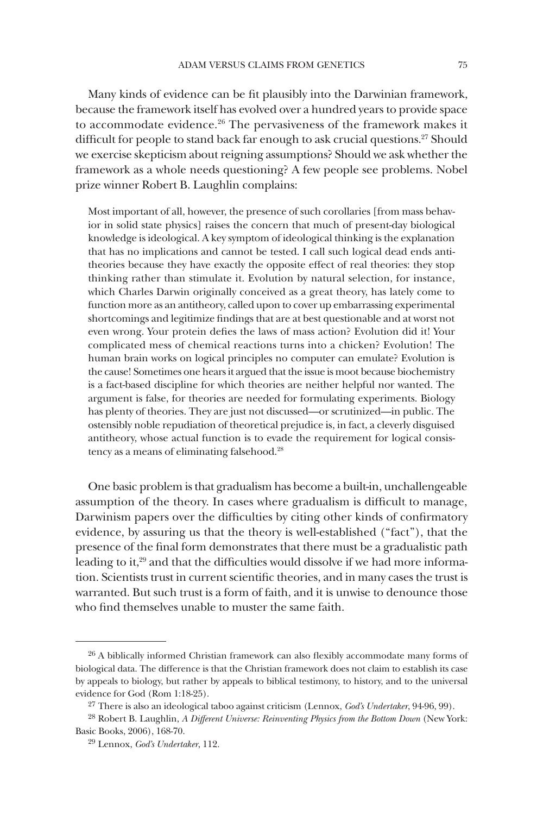Many kinds of evidence can be fit plausibly into the Darwinian framework, because the framework itself has evolved over a hundred years to provide space to accommodate evidence.<sup>26</sup> The pervasiveness of the framework makes it difficult for people to stand back far enough to ask crucial questions.<sup>27</sup> Should we exercise skepticism about reigning assumptions? Should we ask whether the framework as a whole needs questioning? A few people see problems. Nobel prize winner Robert B. Laughlin complains:

Most important of all, however, the presence of such corollaries [from mass behavior in solid state physics] raises the concern that much of present-day biological knowledge is ideological. A key symptom of ideological thinking is the explanation that has no implications and cannot be tested. I call such logical dead ends antitheories because they have exactly the opposite effect of real theories: they stop thinking rather than stimulate it. Evolution by natural selection, for instance, which Charles Darwin originally conceived as a great theory, has lately come to function more as an antitheory, called upon to cover up embarrassing experimental shortcomings and legitimize findings that are at best questionable and at worst not even wrong. Your protein defies the laws of mass action? Evolution did it! Your complicated mess of chemical reactions turns into a chicken? Evolution! The human brain works on logical principles no computer can emulate? Evolution is the cause! Sometimes one hears it argued that the issue is moot because biochemistry is a fact-based discipline for which theories are neither helpful nor wanted. The argument is false, for theories are needed for formulating experiments. Biology has plenty of theories. They are just not discussed—or scrutinized—in public. The ostensibly noble repudiation of theoretical prejudice is, in fact, a cleverly disguised antitheory, whose actual function is to evade the requirement for logical consistency as a means of eliminating falsehood.28

One basic problem is that gradualism has become a built-in, unchallengeable assumption of the theory. In cases where gradualism is difficult to manage, Darwinism papers over the difficulties by citing other kinds of confirmatory evidence, by assuring us that the theory is well-established ("fact"), that the presence of the final form demonstrates that there must be a gradualistic path leading to it,29 and that the difficulties would dissolve if we had more information. Scientists trust in current scientific theories, and in many cases the trust is warranted. But such trust is a form of faith, and it is unwise to denounce those who find themselves unable to muster the same faith.

<sup>&</sup>lt;sup>26</sup> A biblically informed Christian framework can also flexibly accommodate many forms of biological data. The difference is that the Christian framework does not claim to establish its case by appeals to biology, but rather by appeals to biblical testimony, to history, and to the universal evidence for God (Rom 1:18-25).

<sup>27</sup> There is also an ideological taboo against criticism (Lennox, *God's Undertaker*, 94-96, 99).

<sup>28</sup> Robert B. Laughlin, *A Different Universe: Reinventing Physics from the Bottom Down* (New York: Basic Books, 2006), 168-70.

<sup>29</sup> Lennox, *God's Undertaker*, 112.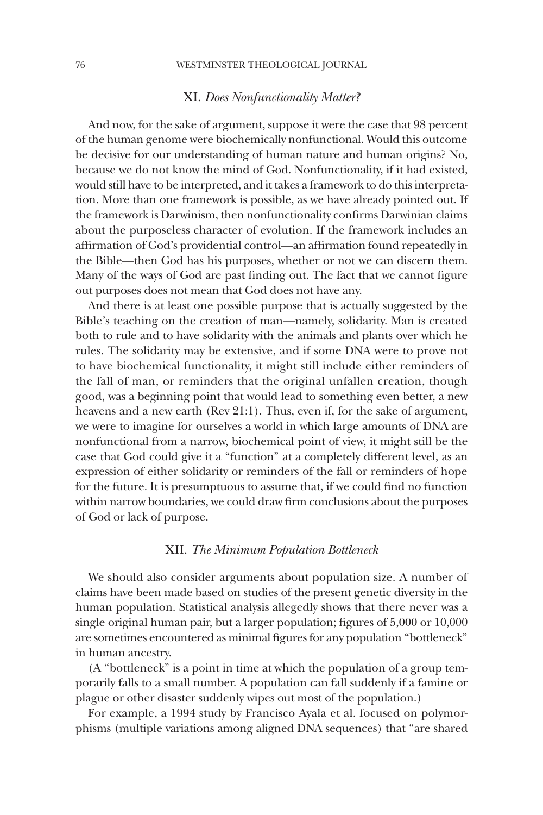#### 76 WESTMINSTER THEOLOGICAL JOURNAL

#### XI. *Does Nonfunctionality Matter?*

And now, for the sake of argument, suppose it were the case that 98 percent of the human genome were biochemically nonfunctional. Would this outcome be decisive for our understanding of human nature and human origins? No, because we do not know the mind of God. Nonfunctionality, if it had existed, would still have to be interpreted, and it takes a framework to do this interpretation. More than one framework is possible, as we have already pointed out. If the framework is Darwinism, then nonfunctionality confirms Darwinian claims about the purposeless character of evolution. If the framework includes an affirmation of God's providential control—an affirmation found repeatedly in the Bible—then God has his purposes, whether or not we can discern them. Many of the ways of God are past finding out. The fact that we cannot figure out purposes does not mean that God does not have any.

And there is at least one possible purpose that is actually suggested by the Bible's teaching on the creation of man—namely, solidarity. Man is created both to rule and to have solidarity with the animals and plants over which he rules. The solidarity may be extensive, and if some DNA were to prove not to have biochemical functionality, it might still include either reminders of the fall of man, or reminders that the original unfallen creation, though good, was a beginning point that would lead to something even better, a new heavens and a new earth (Rev 21:1). Thus, even if, for the sake of argument, we were to imagine for ourselves a world in which large amounts of DNA are nonfunctional from a narrow, biochemical point of view, it might still be the case that God could give it a "function" at a completely different level, as an expression of either solidarity or reminders of the fall or reminders of hope for the future. It is presumptuous to assume that, if we could find no function within narrow boundaries, we could draw firm conclusions about the purposes of God or lack of purpose.

#### XII. *The Minimum Population Bottleneck*

We should also consider arguments about population size. A number of claims have been made based on studies of the present genetic diversity in the human population. Statistical analysis allegedly shows that there never was a single original human pair, but a larger population; figures of 5,000 or 10,000 are sometimes encountered as minimal figures for any population "bottleneck" in human ancestry.

(A "bottleneck" is a point in time at which the population of a group temporarily falls to a small number. A population can fall suddenly if a famine or plague or other disaster suddenly wipes out most of the population.)

For example, a 1994 study by Francisco Ayala et al. focused on polymorphisms (multiple variations among aligned DNA sequences) that "are shared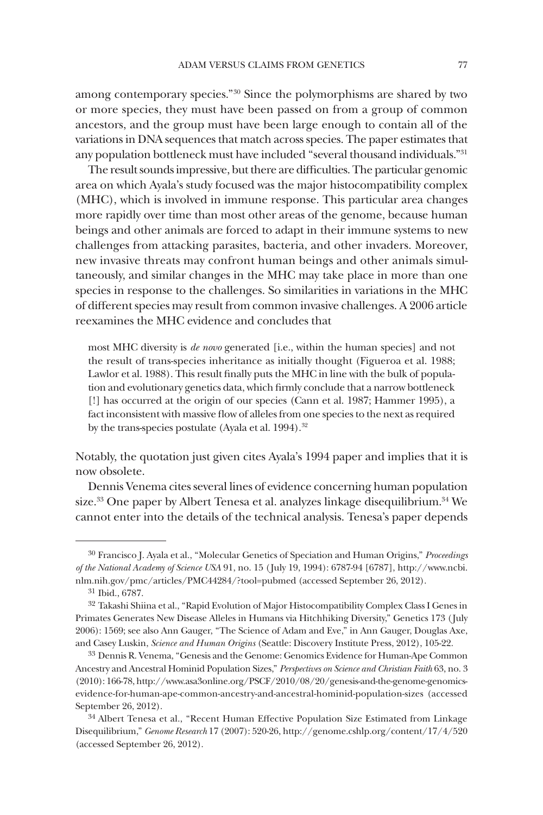among contemporary species."30 Since the polymorphisms are shared by two or more species, they must have been passed on from a group of common ancestors, and the group must have been large enough to contain all of the variations in DNA sequences that match across species. The paper estimates that any population bottleneck must have included "several thousand individuals."31

The result sounds impressive, but there are difficulties. The particular genomic area on which Ayala's study focused was the major histocompatibility complex (MHC), which is involved in immune response. This particular area changes more rapidly over time than most other areas of the genome, because human beings and other animals are forced to adapt in their immune systems to new challenges from attacking parasites, bacteria, and other invaders. Moreover, new invasive threats may confront human beings and other animals simultaneously, and similar changes in the MHC may take place in more than one species in response to the challenges. So similarities in variations in the MHC of different species may result from common invasive challenges. A 2006 article reexamines the MHC evidence and concludes that

most MHC diversity is *de novo* generated [i.e., within the human species] and not the result of trans-species inheritance as initially thought (Figueroa et al. 1988; Lawlor et al. 1988). This result finally puts the MHC in line with the bulk of population and evolutionary genetics data, which firmly conclude that a narrow bottleneck [!] has occurred at the origin of our species (Cann et al. 1987; Hammer 1995), a fact inconsistent with massive flow of alleles from one species to the next as required by the trans-species postulate (Ayala et al. 1994).<sup>32</sup>

Notably, the quotation just given cites Ayala's 1994 paper and implies that it is now obsolete.

Dennis Venema cites several lines of evidence concerning human population size.<sup>33</sup> One paper by Albert Tenesa et al. analyzes linkage disequilibrium.<sup>34</sup> We cannot enter into the details of the technical analysis. Tenesa's paper depends

<sup>30</sup> Francisco J. Ayala et al., "Molecular Genetics of Speciation and Human Origins," *Proceedings of the National Academy of Science USA* 91, no. 15 (July 19, 1994): 6787-94 [6787], http://www.ncbi. nlm.nih.gov/pmc/articles/PMC44284/?tool=pubmed (accessed September 26, 2012).

<sup>31</sup> Ibid., 6787.

<sup>&</sup>lt;sup>32</sup> Takashi Shiina et al., "Rapid Evolution of Major Histocompatibility Complex Class I Genes in Primates Generates New Disease Alleles in Humans via Hitchhiking Diversity," Genetics 173 (July 2006): 1569; see also Ann Gauger, "The Science of Adam and Eve," in Ann Gauger, Douglas Axe, and Casey Luskin, *Science and Human Origins* (Seattle: Discovery Institute Press, 2012), 105-22.

<sup>33</sup> Dennis R. Venema, "Genesis and the Genome: Genomics Evidence for Human-Ape Common Ancestry and Ancestral Hominid Population Sizes," *Perspectives on Science and Christian Faith* 63, no. 3 (2010): 166-78, http://www.asa3online.org/PSCF/2010/08/20/genesis-and-the-genome-genomicsevidence-for-human-ape-common-ancestry-and-ancestral-hominid-population-sizes (accessed September 26, 2012).

<sup>34</sup> Albert Tenesa et al., "Recent Human Effective Population Size Estimated from Linkage Disequilibrium," *Genome Research* 17 (2007): 520-26, http://genome.cshlp.org/content/17/4/520 (accessed September 26, 2012).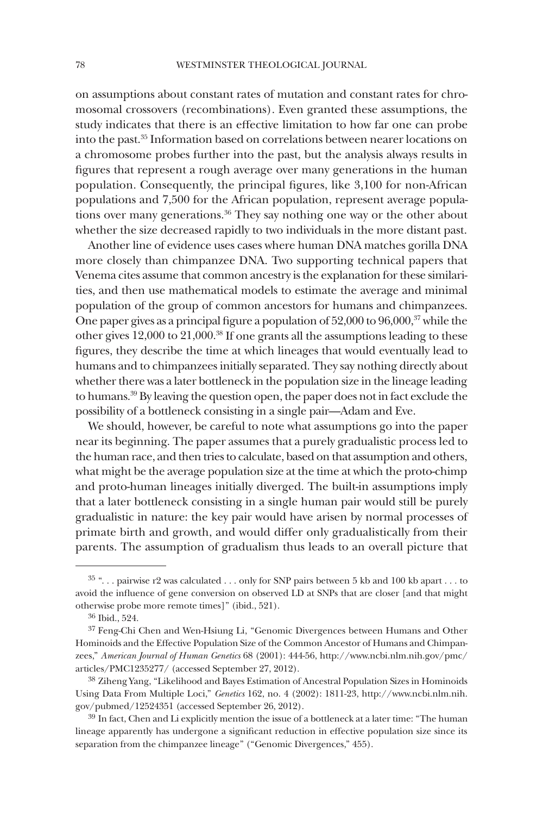on assumptions about constant rates of mutation and constant rates for chromosomal crossovers (recombinations). Even granted these assumptions, the study indicates that there is an effective limitation to how far one can probe into the past.35 Information based on correlations between nearer locations on a chromosome probes further into the past, but the analysis always results in figures that represent a rough average over many generations in the human population. Consequently, the principal figures, like 3,100 for non-African populations and 7,500 for the African population, represent average populations over many generations.<sup>36</sup> They say nothing one way or the other about whether the size decreased rapidly to two individuals in the more distant past.

Another line of evidence uses cases where human DNA matches gorilla DNA more closely than chimpanzee DNA. Two supporting technical papers that Venema cites assume that common ancestry is the explanation for these similarities, and then use mathematical models to estimate the average and minimal population of the group of common ancestors for humans and chimpanzees. One paper gives as a principal figure a population of 52,000 to 96,000,37 while the other gives 12,000 to 21,000.38 If one grants all the assumptions leading to these figures, they describe the time at which lineages that would eventually lead to humans and to chimpanzees initially separated. They say nothing directly about whether there was a later bottleneck in the population size in the lineage leading to humans.39 By leaving the question open, the paper does not in fact exclude the possibility of a bottleneck consisting in a single pair—Adam and Eve.

We should, however, be careful to note what assumptions go into the paper near its beginning. The paper assumes that a purely gradualistic process led to the human race, and then tries to calculate, based on that assumption and others, what might be the average population size at the time at which the proto-chimp and proto-human lineages initially diverged. The built-in assumptions imply that a later bottleneck consisting in a single human pair would still be purely gradualistic in nature: the key pair would have arisen by normal processes of primate birth and growth, and would differ only gradualistically from their parents. The assumption of gradualism thus leads to an overall picture that

<sup>&</sup>lt;sup>35</sup> "... pairwise r2 was calculated ... only for SNP pairs between 5 kb and 100 kb apart ... to avoid the influence of gene conversion on observed LD at SNPs that are closer [and that might otherwise probe more remote times]" (ibid., 521).

<sup>36</sup> Ibid., 524.

<sup>&</sup>lt;sup>37</sup> Feng-Chi Chen and Wen-Hsiung Li, "Genomic Divergences between Humans and Other Hominoids and the Effective Population Size of the Common Ancestor of Humans and Chimpanzees," *American Journal of Human Genetics* 68 (2001): 444-56, http://www.ncbi.nlm.nih.gov/pmc/ articles/PMC1235277/ (accessed September 27, 2012).

<sup>38</sup> Ziheng Yang, "Likelihood and Bayes Estimation of Ancestral Population Sizes in Hominoids Using Data From Multiple Loci," *Genetics* 162, no. 4 (2002): 1811-23, http://www.ncbi.nlm.nih. gov/pubmed/12524351 (accessed September 26, 2012).

<sup>39</sup> In fact, Chen and Li explicitly mention the issue of a bottleneck at a later time: "The human lineage apparently has undergone a significant reduction in effective population size since its separation from the chimpanzee lineage" ("Genomic Divergences," 455).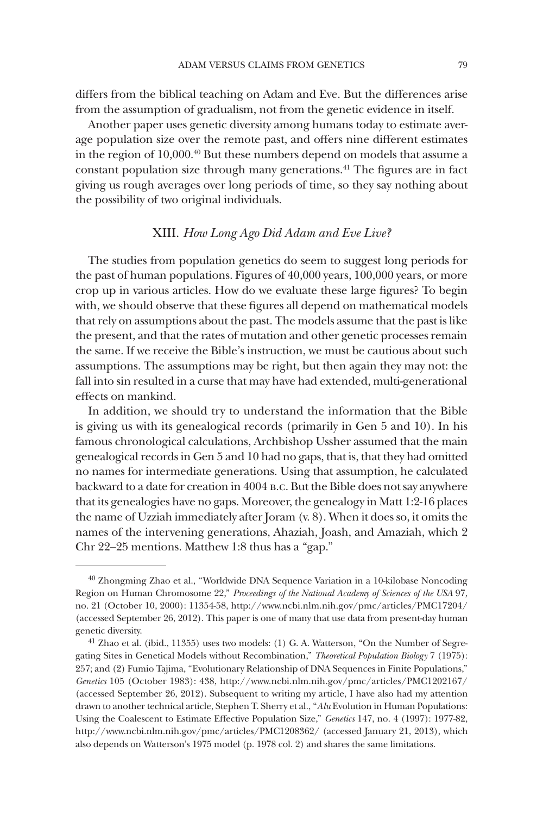differs from the biblical teaching on Adam and Eve. But the differences arise from the assumption of gradualism, not from the genetic evidence in itself.

Another paper uses genetic diversity among humans today to estimate average population size over the remote past, and offers nine different estimates in the region of 10,000.40 But these numbers depend on models that assume a constant population size through many generations.41 The figures are in fact giving us rough averages over long periods of time, so they say nothing about the possibility of two original individuals.

# XIII. *How Long Ago Did Adam and Eve Live?*

The studies from population genetics do seem to suggest long periods for the past of human populations. Figures of 40,000 years, 100,000 years, or more crop up in various articles. How do we evaluate these large figures? To begin with, we should observe that these figures all depend on mathematical models that rely on assumptions about the past. The models assume that the past is like the present, and that the rates of mutation and other genetic processes remain the same. If we receive the Bible's instruction, we must be cautious about such assumptions. The assumptions may be right, but then again they may not: the fall into sin resulted in a curse that may have had extended, multi-generational effects on mankind.

In addition, we should try to understand the information that the Bible is giving us with its genealogical records (primarily in Gen 5 and 10). In his famous chronological calculations, Archbishop Ussher assumed that the main genealogical records in Gen 5 and 10 had no gaps, that is, that they had omitted no names for intermediate generations. Using that assumption, he calculated backward to a date for creation in 4004 b.c. But the Bible does not say anywhere that its genealogies have no gaps. Moreover, the genealogy in Matt 1:2-16 places the name of Uzziah immediately after Joram (v. 8). When it does so, it omits the names of the intervening generations, Ahaziah, Joash, and Amaziah, which 2 Chr 22–25 mentions. Matthew 1:8 thus has a "gap."

<sup>40</sup> Zhongming Zhao et al., "Worldwide DNA Sequence Variation in a 10-kilobase Noncoding Region on Human Chromosome 22," *Proceedings of the National Academy of Sciences of the USA* 97, no. 21 (October 10, 2000): 11354-58, http://www.ncbi.nlm.nih.gov/pmc/articles/PMC17204/ (accessed September 26, 2012). This paper is one of many that use data from present-day human genetic diversity.

<sup>41</sup> Zhao et al. (ibid., 11355) uses two models: (1) G. A. Watterson, "On the Number of Segregating Sites in Genetical Models without Recombination," *Theoretical Population Biology* 7 (1975): 257; and (2) Fumio Tajima, "Evolutionary Relationship of DNA Sequences in Finite Populations," *Genetics* 105 (October 1983): 438, http://www.ncbi.nlm.nih.gov/pmc/articles/PMC1202167/ (accessed September 26, 2012). Subsequent to writing my article, I have also had my attention drawn to another technical article, Stephen T. Sherry et al., "*Alu* Evolution in Human Populations: Using the Coalescent to Estimate Effective Population Size," *Genetics* 147, no. 4 (1997): 1977-82, http://www.ncbi.nlm.nih.gov/pmc/articles/PMC1208362/ (accessed January 21, 2013), which also depends on Watterson's 1975 model (p. 1978 col. 2) and shares the same limitations.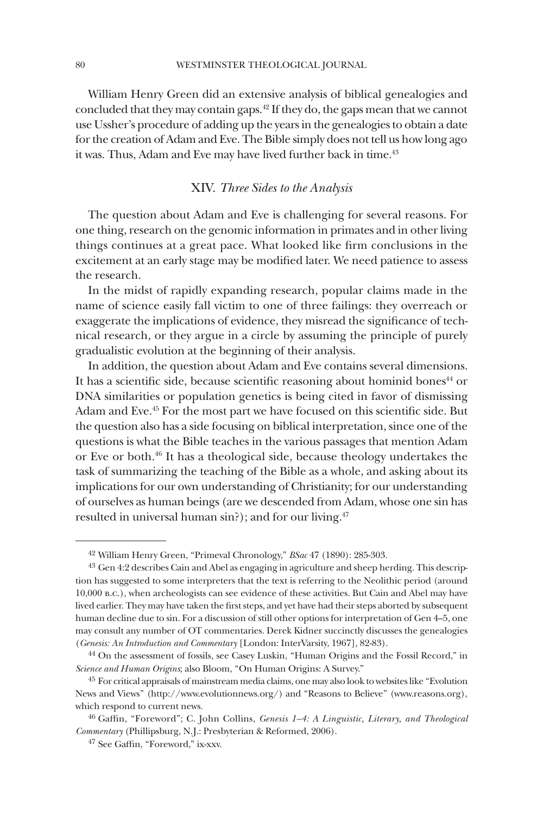William Henry Green did an extensive analysis of biblical genealogies and concluded that they may contain gaps.42 If they do, the gaps mean that we cannot use Ussher's procedure of adding up the years in the genealogies to obtain a date for the creation of Adam and Eve. The Bible simply does not tell us how long ago it was. Thus, Adam and Eve may have lived further back in time.<sup>43</sup>

# XIV. *Three Sides to the Analysis*

The question about Adam and Eve is challenging for several reasons. For one thing, research on the genomic information in primates and in other living things continues at a great pace. What looked like firm conclusions in the excitement at an early stage may be modified later. We need patience to assess the research.

In the midst of rapidly expanding research, popular claims made in the name of science easily fall victim to one of three failings: they overreach or exaggerate the implications of evidence, they misread the significance of technical research, or they argue in a circle by assuming the principle of purely gradualistic evolution at the beginning of their analysis.

In addition, the question about Adam and Eve contains several dimensions. It has a scientific side, because scientific reasoning about hominid bones<sup>44</sup> or DNA similarities or population genetics is being cited in favor of dismissing Adam and Eve.45 For the most part we have focused on this scientific side. But the question also has a side focusing on biblical interpretation, since one of the questions is what the Bible teaches in the various passages that mention Adam or Eve or both.46 It has a theological side, because theology undertakes the task of summarizing the teaching of the Bible as a whole, and asking about its implications for our own understanding of Christianity; for our understanding of ourselves as human beings (are we descended from Adam, whose one sin has resulted in universal human sin?); and for our living.<sup>47</sup>

<sup>42</sup> William Henry Green, "Primeval Chronology," *BSac* 47 (1890): 285-303.

<sup>43</sup> Gen 4:2 describes Cain and Abel as engaging in agriculture and sheep herding. This description has suggested to some interpreters that the text is referring to the Neolithic period (around 10,000 b.c.), when archeologists can see evidence of these activities. But Cain and Abel may have lived earlier. They may have taken the first steps, and yet have had their steps aborted by subsequent human decline due to sin. For a discussion of still other options for interpretation of Gen 4–5, one may consult any number of OT commentaries. Derek Kidner succinctly discusses the genealogies (*Genesis: An Introduction and Commentary* [London: InterVarsity, 1967], 82-83).

<sup>44</sup> On the assessment of fossils, see Casey Luskin, "Human Origins and the Fossil Record," in *Science and Human Origins*; also Bloom, "On Human Origins: A Survey."

<sup>&</sup>lt;sup>45</sup> For critical appraisals of mainstream media claims, one may also look to websites like "Evolution News and Views" (http://www.evolutionnews.org/) and "Reasons to Believe" (www.reasons.org), which respond to current news.

<sup>46</sup> Gaffin, "Foreword"; C. John Collins, *Genesis 1–4: A Linguistic, Literary, and Theological Commentary* (Phillipsburg, N.J.: Presbyterian & Reformed, 2006).

<sup>47</sup> See Gaffin, "Foreword," ix-xxv.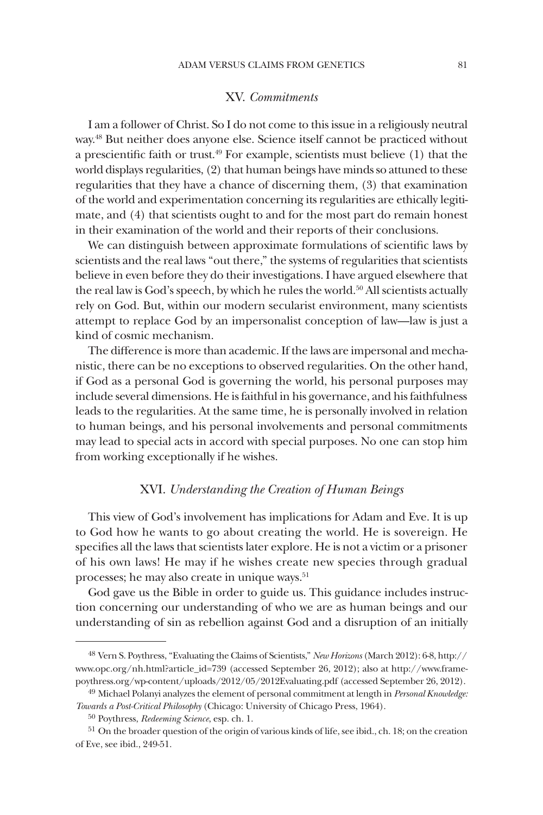### XV. *Commitments*

I am a follower of Christ. So I do not come to this issue in a religiously neutral way.48 But neither does anyone else. Science itself cannot be practiced without a prescientific faith or trust.49 For example, scientists must believe (1) that the world displays regularities, (2) that human beings have minds so attuned to these regularities that they have a chance of discerning them, (3) that examination of the world and experimentation concerning its regularities are ethically legitimate, and (4) that scientists ought to and for the most part do remain honest in their examination of the world and their reports of their conclusions.

We can distinguish between approximate formulations of scientific laws by scientists and the real laws "out there," the systems of regularities that scientists believe in even before they do their investigations. I have argued elsewhere that the real law is God's speech, by which he rules the world.<sup>50</sup> All scientists actually rely on God. But, within our modern secularist environment, many scientists attempt to replace God by an impersonalist conception of law—law is just a kind of cosmic mechanism.

The difference is more than academic. If the laws are impersonal and mechanistic, there can be no exceptions to observed regularities. On the other hand, if God as a personal God is governing the world, his personal purposes may include several dimensions. He is faithful in his governance, and his faithfulness leads to the regularities. At the same time, he is personally involved in relation to human beings, and his personal involvements and personal commitments may lead to special acts in accord with special purposes. No one can stop him from working exceptionally if he wishes.

# XVI. *Understanding the Creation of Human Beings*

This view of God's involvement has implications for Adam and Eve. It is up to God how he wants to go about creating the world. He is sovereign. He specifies all the laws that scientists later explore. He is not a victim or a prisoner of his own laws! He may if he wishes create new species through gradual processes; he may also create in unique ways.<sup>51</sup>

God gave us the Bible in order to guide us. This guidance includes instruction concerning our understanding of who we are as human beings and our understanding of sin as rebellion against God and a disruption of an initially

<sup>48</sup> Vern S. Poythress, "Evaluating the Claims of Scientists," *New Horizons* (March 2012): 6-8, http:// www.opc.org/nh.html?article\_id=739 (accessed September 26, 2012); also at http://www.framepoythress.org/wp-content/uploads/2012/05/2012Evaluating.pdf (accessed September 26, 2012).

<sup>49</sup> Michael Polanyi analyzes the element of personal commitment at length in *Personal Knowledge: Towards a Post-Critical Philosophy* (Chicago: University of Chicago Press, 1964).

<sup>50</sup> Poythress, *Redeeming Science*, esp. ch. 1.

<sup>&</sup>lt;sup>51</sup> On the broader question of the origin of various kinds of life, see ibid., ch. 18; on the creation of Eve, see ibid., 249-51.